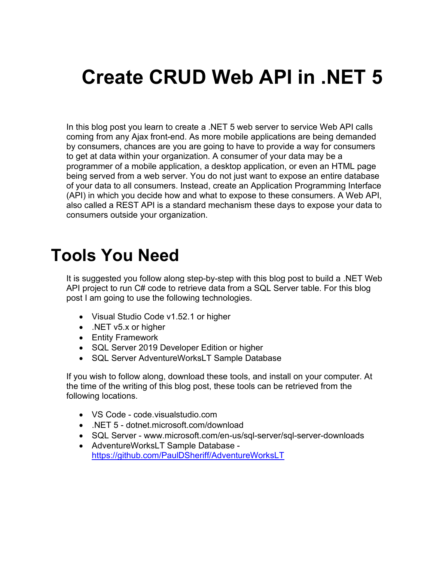# **Create CRUD Web API in .NET 5**

In this blog post you learn to create a .NET 5 web server to service Web API calls coming from any Ajax front-end. As more mobile applications are being demanded by consumers, chances are you are going to have to provide a way for consumers to get at data within your organization. A consumer of your data may be a programmer of a mobile application, a desktop application, or even an HTML page being served from a web server. You do not just want to expose an entire database of your data to all consumers. Instead, create an Application Programming Interface (API) in which you decide how and what to expose to these consumers. A Web API, also called a REST API is a standard mechanism these days to expose your data to consumers outside your organization.

### **Tools You Need**

It is suggested you follow along step-by-step with this blog post to build a .NET Web API project to run C# code to retrieve data from a SQL Server table. For this blog post I am going to use the following technologies.

- Visual Studio Code v1.52.1 or higher
- .NET v5.x or higher
- Entity Framework
- SQL Server 2019 Developer Edition or higher
- SQL Server AdventureWorksLT Sample Database

If you wish to follow along, download these tools, and install on your computer. At the time of the writing of this blog post, these tools can be retrieved from the following locations.

- VS Code code.visualstudio.com
- .NET 5 dotnet.microsoft.com/download
- SQL Server www.microsoft.com/en-us/sql-server/sql-server-downloads
- AdventureWorksLT Sample Database <https://github.com/PaulDSheriff/AdventureWorksLT>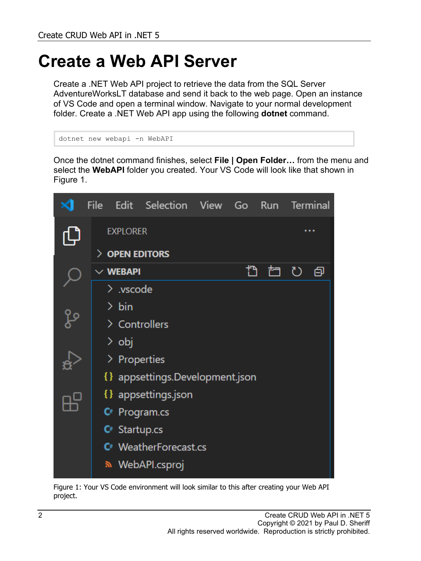# **Create a Web API Server**

Create a .NET Web API project to retrieve the data from the SQL Server AdventureWorksLT database and send it back to the web page. Open an instance of VS Code and open a terminal window. Navigate to your normal development folder. Create a .NET Web API app using the following **dotnet** command.

```
dotnet new webapi -n WebAPI
```
Once the dotnet command finishes, select **File | Open Folder…** from the menu and select the **WebAPI** folder you created. Your VS Code will look like that shown in [Figure 1.](#page-1-0)

|      | <b>File</b>  |                                   | Edit Selection View Go Run Terminal |  |    |  |       |  |  |
|------|--------------|-----------------------------------|-------------------------------------|--|----|--|-------|--|--|
|      |              | <b>EXPLORER</b>                   |                                     |  |    |  |       |  |  |
|      |              | $>$ Open editors                  |                                     |  |    |  |       |  |  |
|      |              | $\vee$ webapi                     |                                     |  | t) |  | ね ひ 旬 |  |  |
|      |              | $\geq$ .vscode                    |                                     |  |    |  |       |  |  |
|      |              | $\frac{\ }{2}$ bin                |                                     |  |    |  |       |  |  |
| ပို့ |              | > Controllers                     |                                     |  |    |  |       |  |  |
|      |              | > obj                             |                                     |  |    |  |       |  |  |
|      | > Properties |                                   |                                     |  |    |  |       |  |  |
|      |              | {} appsettings.Development.json   |                                     |  |    |  |       |  |  |
|      |              | { } appsettings.json              |                                     |  |    |  |       |  |  |
|      |              | $\mathsf{C}^*$ Program.cs         |                                     |  |    |  |       |  |  |
|      |              | $C^*$ Startup.cs                  |                                     |  |    |  |       |  |  |
|      |              | C <sup>#</sup> WeatherForecast.cs |                                     |  |    |  |       |  |  |
|      |              |                                   | <u>ေ</u> WebAPI.csproj              |  |    |  |       |  |  |

<span id="page-1-0"></span>Figure 1: Your VS Code environment will look similar to this after creating your Web API project.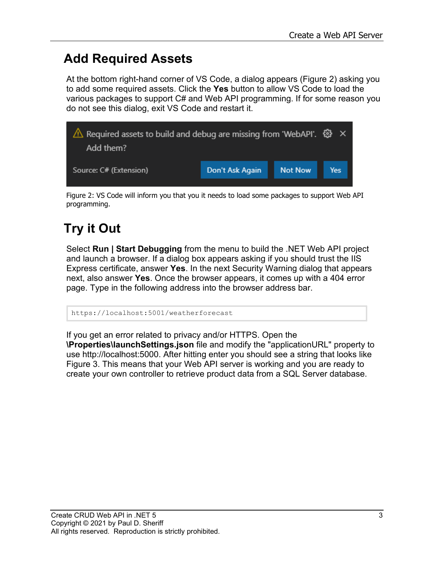#### **Add Required Assets**

At the bottom right-hand corner of VS Code, a dialog appears [\(Figure 2\)](#page-2-0) asking you to add some required assets. Click the **Yes** button to allow VS Code to load the various packages to support C# and Web API programming. If for some reason you do not see this dialog, exit VS Code and restart it.



<span id="page-2-0"></span>Figure 2: VS Code will inform you that you it needs to load some packages to support Web API programming.

### **Try it Out**

Select **Run | Start Debugging** from the menu to build the .NET Web API project and launch a browser. If a dialog box appears asking if you should trust the IIS Express certificate, answer **Yes**. In the next Security Warning dialog that appears next, also answer **Yes**. Once the browser appears, it comes up with a 404 error page. Type in the following address into the browser address bar.

https://localhost:5001/weatherforecast

If you get an error related to privacy and/or HTTPS. Open the **\Properties\launchSettings.json** file and modify the "applicationURL" property to use [http://localhost:5000.](http://localhost:5000/) After hitting enter you should see a string that looks like [Figure 3.](#page-3-0) This means that your Web API server is working and you are ready to create your own controller to retrieve product data from a SQL Server database.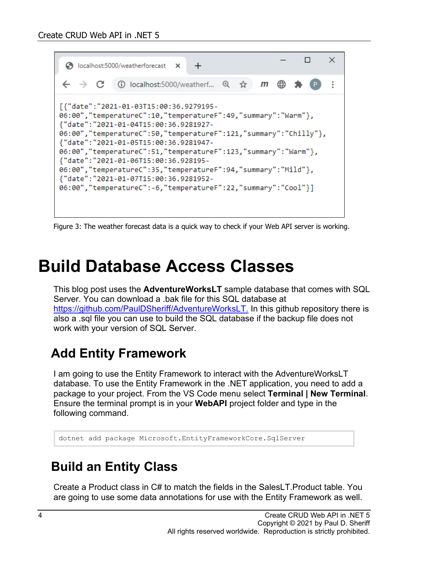

<span id="page-3-0"></span>Figure 3: The weather forecast data is a quick way to check if your Web API server is working.

### **Build Database Access Classes**

This blog post uses the **AdventureWorksLT** sample database that comes with SQL Server. You can download a .bak file for this SQL database at [https://github.com/PaulDSheriff/AdventureWorksLT.](https://github.com/PaulDSheriff/AdventureWorksLT) In this github repository there is also a .sql file you can use to build the SQL database if the backup file does not work with your version of SQL Server.

#### **Add Entity Framework**

I am going to use the Entity Framework to interact with the AdventureWorksLT database. To use the Entity Framework in the .NET application, you need to add a package to your project. From the VS Code menu select **Terminal | New Terminal**. Ensure the terminal prompt is in your **WebAPI** project folder and type in the following command.

dotnet add package Microsoft.EntityFrameworkCore.SqlServer

#### **Build an Entity Class**

Create a Product class in C# to match the fields in the SalesLT.Product table. You are going to use some data annotations for use with the Entity Framework as well.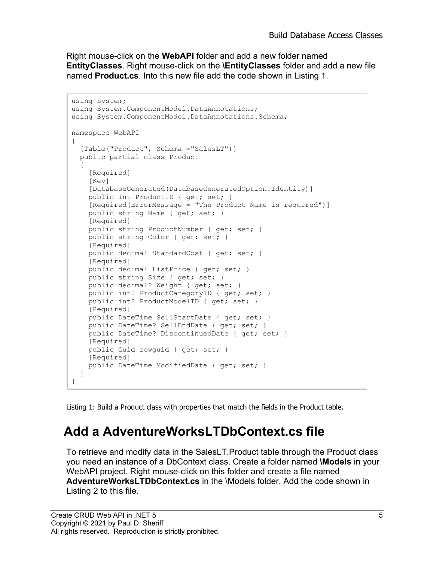Right mouse-click on the **WebAPI** folder and add a new folder named **EntityClasses**. Right mouse-click on the **\EntityClasses** folder and add a new file named **Product.cs**. Into this new file add the code shown in [Listing 1.](#page-4-0)

```
using System;
using System. ComponentModel. DataAnnotations;
using System.ComponentModel.DataAnnotations.Schema;
namespace WebAPI
{
   [Table("Product", Schema ="SalesLT")]
  public partial class Product
   {
     [Required]
     [Key]
     [DatabaseGenerated(DatabaseGeneratedOption.Identity)]
     public int ProductID { get; set; }
     [Required(ErrorMessage = "The Product Name is required")] 
    public string Name { get; set; }
    [Required]
     public string ProductNumber { get; set; }
     public string Color { get; set; }
    [Required]
     public decimal StandardCost { get; set; }
     [Required]
     public decimal ListPrice { get; set; }
     public string Size { get; set; }
     public decimal? Weight { get; set; }
     public int? ProductCategoryID { get; set; }
     public int? ProductModelID { get; set; }
     [Required]
    public DateTime SellStartDate { get; set; }
    public DateTime? SellEndDate { get; set; }
     public DateTime? DiscontinuedDate { get; set; }
     [Required]
     public Guid rowguid { get; set; }
     [Required]
     public DateTime ModifiedDate { get; set; }
   }
}
```
<span id="page-4-0"></span>Listing 1: Build a Product class with properties that match the fields in the Product table.

#### **Add a AdventureWorksLTDbContext.cs file**

To retrieve and modify data in the SalesLT.Product table through the Product class you need an instance of a DbContext class. Create a folder named **\Models** in your WebAPI project. Right mouse-click on this folder and create a file named **AdventureWorksLTDbContext.cs** in the \Models folder. Add the code shown in [Listing 2](#page-5-0) to this file.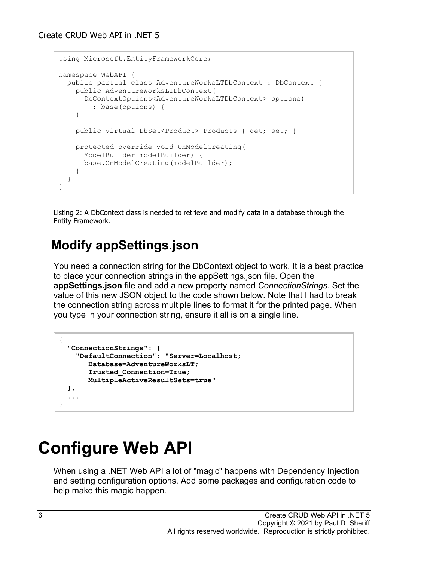```
using Microsoft.EntityFrameworkCore;
namespace WebAPI {
   public partial class AdventureWorksLTDbContext : DbContext {
     public AdventureWorksLTDbContext(
       DbContextOptions<AdventureWorksLTDbContext> options)
         : base(options) {
     }
     public virtual DbSet<Product> Products { get; set; }
     protected override void OnModelCreating(
      ModelBuilder modelBuilder) {
       base.OnModelCreating(modelBuilder);
     }
   }
}
```
<span id="page-5-0"></span>Listing 2: A DbContext class is needed to retrieve and modify data in a database through the Entity Framework.

#### **Modify appSettings.json**

You need a connection string for the DbContext object to work. It is a best practice to place your connection strings in the appSettings.json file. Open the **appSettings.json** file and add a new property named *ConnectionStrings*. Set the value of this new JSON object to the code shown below. Note that I had to break the connection string across multiple lines to format it for the printed page. When you type in your connection string, ensure it all is on a single line.

```
{
   "ConnectionStrings": {
     "DefaultConnection": "Server=Localhost;
        Database=AdventureWorksLT;
        Trusted_Connection=True;
        MultipleActiveResultSets=true"
   },
   ...
}
```
# **Configure Web API**

When using a .NET Web API a lot of "magic" happens with Dependency Injection and setting configuration options. Add some packages and configuration code to help make this magic happen.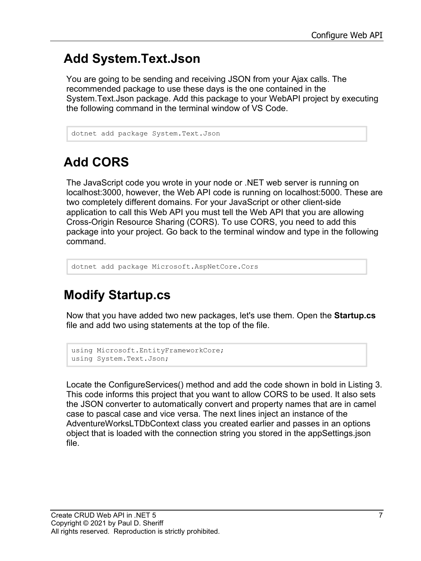#### **Add System.Text.Json**

You are going to be sending and receiving JSON from your Ajax calls. The recommended package to use these days is the one contained in the System.Text.Json package. Add this package to your WebAPI project by executing the following command in the terminal window of VS Code.

```
dotnet add package System.Text.Json
```
### **Add CORS**

The JavaScript code you wrote in your node or .NET web server is running on localhost:3000, however, the Web API code is running on localhost:5000. These are two completely different domains. For your JavaScript or other client-side application to call this Web API you must tell the Web API that you are allowing Cross-Origin Resource Sharing (CORS). To use CORS, you need to add this package into your project. Go back to the terminal window and type in the following command.

```
dotnet add package Microsoft.AspNetCore.Cors
```
#### **Modify Startup.cs**

Now that you have added two new packages, let's use them. Open the **Startup.cs** file and add two using statements at the top of the file.

```
using Microsoft.EntityFrameworkCore;
using System.Text.Json;
```
Locate the ConfigureServices() method and add the code shown in bold in [Listing 3.](#page-7-0) This code informs this project that you want to allow CORS to be used. It also sets the JSON converter to automatically convert and property names that are in camel case to pascal case and vice versa. The next lines inject an instance of the AdventureWorksLTDbContext class you created earlier and passes in an options object that is loaded with the connection string you stored in the appSettings.json file.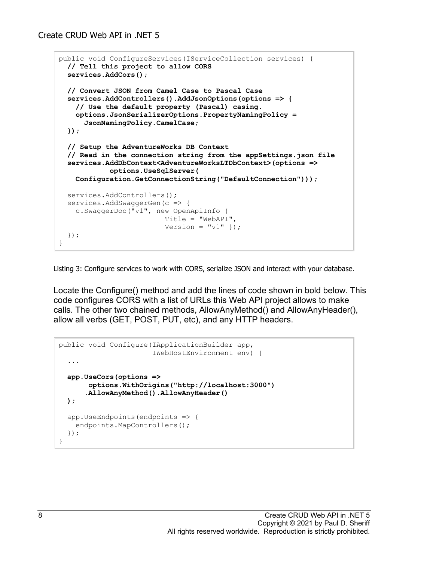```
public void ConfigureServices(IServiceCollection services) {
   // Tell this project to allow CORS
   services.AddCors();
   // Convert JSON from Camel Case to Pascal Case
   services.AddControllers().AddJsonOptions(options => {
     // Use the default property (Pascal) casing.
     options.JsonSerializerOptions.PropertyNamingPolicy =
       JsonNamingPolicy.CamelCase;
   });
   // Setup the AdventureWorks DB Context
   // Read in the connection string from the appSettings.json file
   services.AddDbContext<AdventureWorksLTDbContext>(options =>
             options.UseSqlServer(
     Configuration.GetConnectionString("DefaultConnection")));
  services.AddControllers();
  services.AddSwaggerGen(c => {
     c.SwaggerDoc("v1", new OpenApiInfo { 
                          Title = "WebAPI", 
                         Version = "v1" });
   });
}
```
<span id="page-7-0"></span>Listing 3: Configure services to work with CORS, serialize JSON and interact with your database.

Locate the Configure() method and add the lines of code shown in bold below. This code configures CORS with a list of URLs this Web API project allows to make calls. The other two chained methods, AllowAnyMethod() and AllowAnyHeader(), allow all verbs (GET, POST, PUT, etc), and any HTTP headers.

```
public void Configure(IApplicationBuilder app,
                        IWebHostEnvironment env) {
   ...
   app.UseCors(options =>
        options.WithOrigins("http://localhost:3000")
       .AllowAnyMethod().AllowAnyHeader()
  );
  app.UseEndpoints(endpoints => {
    endpoints.MapControllers();
   });
}
```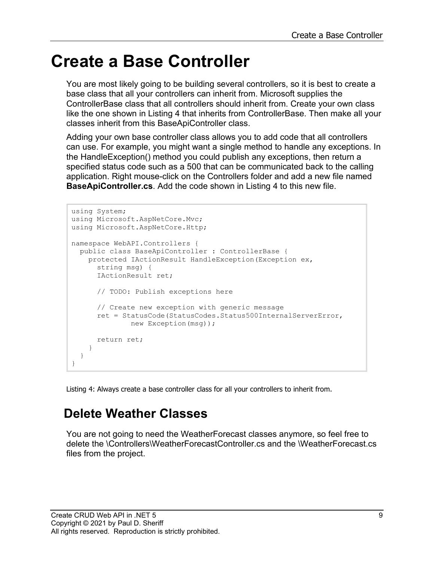### **Create a Base Controller**

You are most likely going to be building several controllers, so it is best to create a base class that all your controllers can inherit from. Microsoft supplies the ControllerBase class that all controllers should inherit from. Create your own class like the one shown in [Listing 4](#page-8-0) that inherits from ControllerBase. Then make all your classes inherit from this BaseApiController class.

Adding your own base controller class allows you to add code that all controllers can use. For example, you might want a single method to handle any exceptions. In the HandleException() method you could publish any exceptions, then return a specified status code such as a 500 that can be communicated back to the calling application. Right mouse-click on the Controllers folder and add a new file named **BaseApiController.cs**. Add the code shown in [Listing 4](#page-8-0) to this new file.

```
using System;
using Microsoft.AspNetCore.Mvc;
using Microsoft.AspNetCore.Http;
namespace WebAPI.Controllers {
   public class BaseApiController : ControllerBase {
     protected IActionResult HandleException(Exception ex,
       string msg) {
       IActionResult ret;
       // TODO: Publish exceptions here
       // Create new exception with generic message 
       ret = StatusCode(StatusCodes.Status500InternalServerError,
               new Exception(msg));
       return ret;
     }
   }
}
```
<span id="page-8-0"></span>Listing 4: Always create a base controller class for all your controllers to inherit from.

#### **Delete Weather Classes**

You are not going to need the WeatherForecast classes anymore, so feel free to delete the \Controllers\WeatherForecastController.cs and the \WeatherForecast.cs files from the project.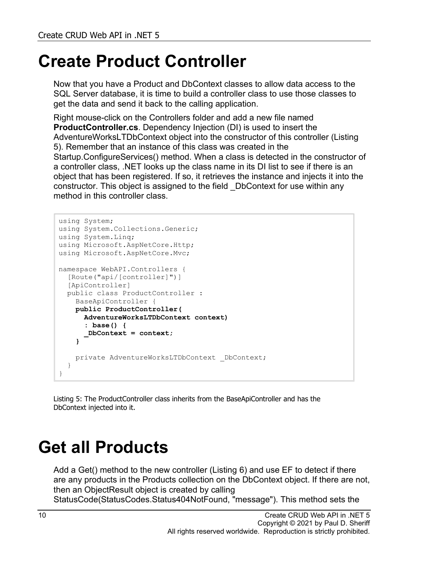# **Create Product Controller**

Now that you have a Product and DbContext classes to allow data access to the SQL Server database, it is time to build a controller class to use those classes to get the data and send it back to the calling application.

Right mouse-click on the Controllers folder and add a new file named **ProductController.cs**. Dependency Injection (DI) is used to insert the AdventureWorksLTDbContext object into the constructor of this controller [\(Listing](#page-9-0)  [5\)](#page-9-0). Remember that an instance of this class was created in the Startup.ConfigureServices() method. When a class is detected in the constructor of a controller class, .NET looks up the class name in its DI list to see if there is an object that has been registered. If so, it retrieves the instance and injects it into the constructor. This object is assigned to the field \_DbContext for use within any method in this controller class.

```
using System;
using System.Collections.Generic;
using System.Linq;
using Microsoft.AspNetCore.Http;
using Microsoft.AspNetCore.Mvc;
namespace WebAPI.Controllers {
   [Route("api/[controller]")]
   [ApiController]
  public class ProductController : 
    BaseApiController {
     public ProductController(
       AdventureWorksLTDbContext context)
       : base() {
       _DbContext = context;
     }
    private AdventureWorksLTDbContext DbContext;
   }
}
```
<span id="page-9-0"></span>Listing 5: The ProductController class inherits from the BaseApiController and has the DbContext injected into it.

# **Get all Products**

Add a Get() method to the new controller [\(Listing 6\)](#page-10-0) and use EF to detect if there are any products in the Products collection on the DbContext object. If there are not, then an ObjectResult object is created by calling

StatusCode(StatusCodes.Status404NotFound, "message"). This method sets the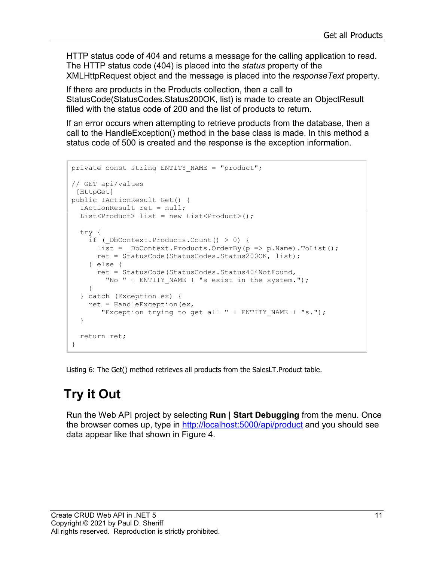HTTP status code of 404 and returns a message for the calling application to read. The HTTP status code (404) is placed into the *status* property of the XMLHttpRequest object and the message is placed into the *responseText* property.

If there are products in the Products collection, then a call to StatusCode(StatusCodes.Status200OK, list) is made to create an ObjectResult filled with the status code of 200 and the list of products to return.

If an error occurs when attempting to retrieve products from the database, then a call to the HandleException() method in the base class is made. In this method a status code of 500 is created and the response is the exception information.

```
private const string ENTITY NAME = "product";
// GET api/values
[HttpGet]
public IActionResult Get() {
  IActionResult ret = null;
 List<Product> list = new List<Product>();
  try {
    if ( DbContext.Products.Count() > 0) {
     list = DbContext.Products.OrderBy(p => p.Name).ToList();
      ret = StatusCode(StatusCodes.Status200OK, list);
     } else {
       ret = StatusCode(StatusCodes.Status404NotFound,
        "No " + ENTITY NAME + "s exist in the system.");
     }
   } catch (Exception ex) {
    ret = HandleException (ex,
       "Exception trying to get all " + ENTITY NAME + "s.");
   }
   return ret;
}
```
<span id="page-10-0"></span>Listing 6: The Get() method retrieves all products from the SalesLT.Product table.

#### **Try it Out**

Run the Web API project by selecting **Run | Start Debugging** from the menu. Once the browser comes up, type in<http://localhost:5000/api/product> and you should see data appear like that shown in [Figure 4.](#page-11-0)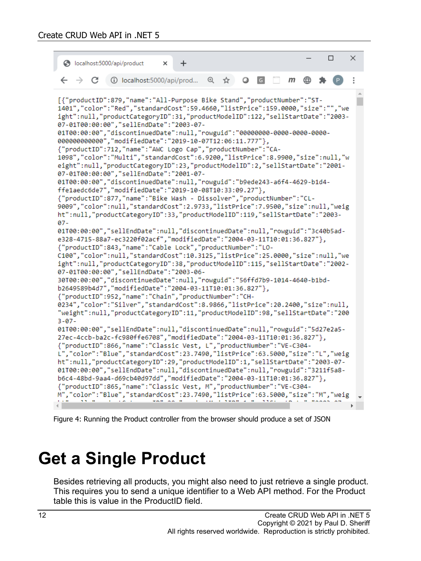```
\Box\timeslocalhost:5000/api/product
                            \times\ddot{}① localhost:5000/api/prod... ① ☆
     \rightarrow C
                                                  Q[G]m
[{"productID":879,"name":"All-Purpose Bike Stand","productNumber":"ST-
1401", "color": "Red", "standardCost": 59.4660, "listPrice": 159.0000, "size": "", "we
ight":null,"productCategoryID":31,"productModelID":122,"sellStartDate":"2003-
07-01T00:00:00", "sellEndDate": "2003-07-
01T00:00:00", "discontinuedDate":null, "rowguid": "00000000-0000-0000-0000-
000000000000", "modifiedDate": "2019-10-07T12:06:11.777"},
{"productID":712,"name":"AWC Logo Cap","productNumber":"CA-
1098", "color": "Multi", "standardCost": 6.9200, "listPrice": 8.9900, "size": null, "w
eight":null,"productCategoryID":23,"productModelID":2,"sellStartDate":"2001-
07-01T00:00:00", "sellEndDate": "2001-07-
01T00:00:00","discontinuedDate":null,"rowguid":"b9ede243-a6f4-4629-b1d4-
ffe1aedc6de7", "modifiedDate": "2019-10-08T10:33:09.27"},
{"productID":877,"name":"Bike Wash - Dissolver","productNumber":"CL-
9009","color":null,"standardCost":2.9733,"listPrice":7.9500,"size":null,"weig
ht":null,"productCategoryID":33,"productModelID":119,"sellStartDate":"2003-
07 -01T00:00:00","sellEndDate":null,"discontinuedDate":null,"rowguid":"3c40b5ad-
e328-4715-88a7-ec3220f02acf","modifiedDate":"2004-03-11T10:01:36.827"},
{"productID":843,"name":"Cable Lock","productNumber":"LO-
C100","color":null,"standardCost":10.3125,"listPrice":25.0000,"size":null,"we
ight":null,"productCategoryID":38,"productModelID":115,"sellStartDate":"2002-
07-01T00:00:00", "sellEndDate": "2003-06-
30T00:00:00","discontinuedDate":null,"rowguid":"56ffd7b9-1014-4640-b1bd-
b2649589b4d7", "modifiedDate": "2004-03-11T10:01:36.827"},
{"productID":952,"name":"Chain","productNumber":"CH-
0234","color":"Silver","standardCost":8.9866,"listPrice":20.2400,"size":null,
"weight":null,"productCategoryID":11,"productModelID":98,"sellStartDate":"200
3 - 07 -01T00:00:00","sellEndDate":null,"discontinuedDate":null,"rowguid":"5d27e2a5-
27ec-4ccb-ba2c-fc980ffe6708","modifiedDate":"2004-03-11T10:01:36.827"},
{"productID":866,"name":"Classic Vest, L","productNumber":"VE-C304-
L","color":"Blue","standardCost":23.7490,"listPrice":63.5000,"size":"L","weig
ht":null,"productCategoryID":29,"productModelID":1,"sellStartDate":"2003-07-
01T00:00:00","sellEndDate":null,"discontinuedDate":null,"rowguid":"3211f5a8-
b6c4-48bd-9aa4-d69cb40d97dd","modifiedDate":"2004-03-11T10:01:36.827"},
{"productID":865,"name":"Classic Vest, M","productNumber":"VE-C304-
M","color":"Blue","standardCost":23.7490,"listPrice":63.5000,"size":"M","weig
                         TABLICATION
```
<span id="page-11-0"></span>Figure 4: Running the Product controller from the browser should produce a set of JSON

### **Get a Single Product**

Besides retrieving all products, you might also need to just retrieve a single product. This requires you to send a unique identifier to a Web API method. For the Product table this is value in the ProductID field.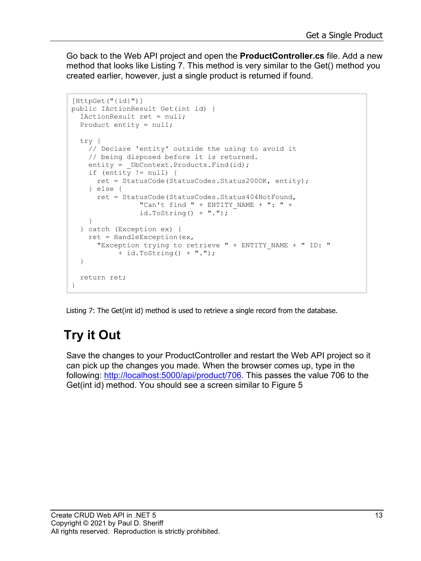Go back to the Web API project and open the **ProductController.cs** file. Add a new method that looks like [Listing 7.](#page-12-0) This method is very similar to the Get() method you created earlier, however, just a single product is returned if found.

```
[HttpGet("{id}")]
public IActionResult Get(int id) {
  IActionResult ret = null;
  Product entity = null;
  try {
     // Declare 'entity' outside the using to avoid it
     // being disposed before it is returned.
    entity = DbContext.Products.Find(id);
    if (entity != null) {
      ret = StatusCode(StatusCodes.Status200OK, entity);
     } else {
      ret = StatusCode(StatusCodes.Status404NotFound,
                "Can't find " + ENTITY NAME + ": " +
                id.ToString() + ".");
     }
   } catch (Exception ex) {
    ret = HandleException (ex,
       "Exception trying to retrieve " + ENTITY_NAME + " ID: "
            + id.ToString() + ".");
   }
  return ret;
}
```
<span id="page-12-0"></span>Listing 7: The Get(int id) method is used to retrieve a single record from the database.

#### **Try it Out**

Save the changes to your ProductController and restart the Web API project so it can pick up the changes you made. When the browser comes up, type in the following: [http://localhost:5000/api/product/706.](http://localhost:5000/api/product/706) This passes the value 706 to the Get(int id) method. You should see a screen similar to [Figure 5](#page-13-0)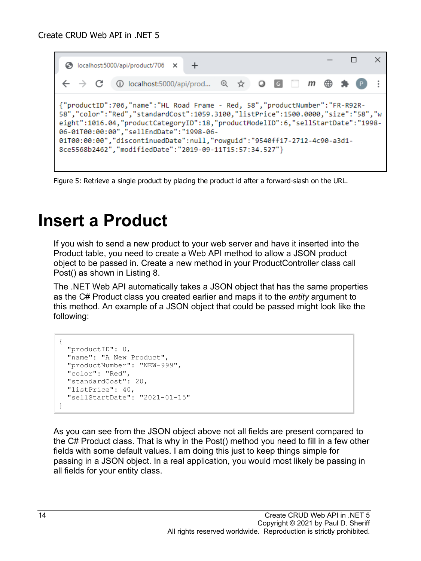

<span id="page-13-0"></span>Figure 5: Retrieve a single product by placing the product id after a forward-slash on the URL.

### **Insert a Product**

If you wish to send a new product to your web server and have it inserted into the Product table, you need to create a Web API method to allow a JSON product object to be passed in. Create a new method in your ProductController class call Post() as shown in [Listing 8.](#page-14-0)

The .NET Web API automatically takes a JSON object that has the same properties as the C# Product class you created earlier and maps it to the *entity* argument to this method. An example of a JSON object that could be passed might look like the following:

```
{
   "productID": 0,
   "name": "A New Product",
   "productNumber": "NEW-999",
   "color": "Red",
   "standardCost": 20,
   "listPrice": 40,
   "sellStartDate": "2021-01-15"
}
```
As you can see from the JSON object above not all fields are present compared to the C# Product class. That is why in the Post() method you need to fill in a few other fields with some default values. I am doing this just to keep things simple for passing in a JSON object. In a real application, you would most likely be passing in all fields for your entity class.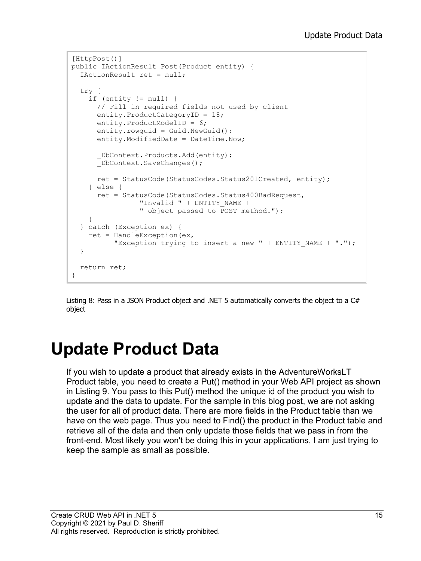```
[HttpPost()]
public IActionResult Post(Product entity) {
   IActionResult ret = null;
   try {
     if (entity != null) {
       // Fill in required fields not used by client
       entity.ProductCategoryID = 18;
       entity.ProductModelID = 6;
      entity.rowquid = Guid.NewGuid();
       entity.ModifiedDate = DateTime.Now;
      DbContext.Products.Add(entity);
      DbContext.SaveChanges();
       ret = StatusCode(StatusCodes.Status201Created, entity);
     } else {
       ret = StatusCode(StatusCodes.Status400BadRequest,
                 "Invalid " + ENTITY_NAME +
                 " object passed to POST method.");
     }
   } catch (Exception ex) {
    ret = HandleException (ex,
          "Exception trying to insert a new " + ENTITY NAME + ".");
   }
   return ret;
}
```
<span id="page-14-0"></span>Listing 8: Pass in a JSON Product object and .NET 5 automatically converts the object to a C# object

# **Update Product Data**

If you wish to update a product that already exists in the AdventureWorksLT Product table, you need to create a Put() method in your Web API project as shown in [Listing 9.](#page-15-0) You pass to this Put() method the unique id of the product you wish to update and the data to update. For the sample in this blog post, we are not asking the user for all of product data. There are more fields in the Product table than we have on the web page. Thus you need to Find() the product in the Product table and retrieve all of the data and then only update those fields that we pass in from the front-end. Most likely you won't be doing this in your applications, I am just trying to keep the sample as small as possible.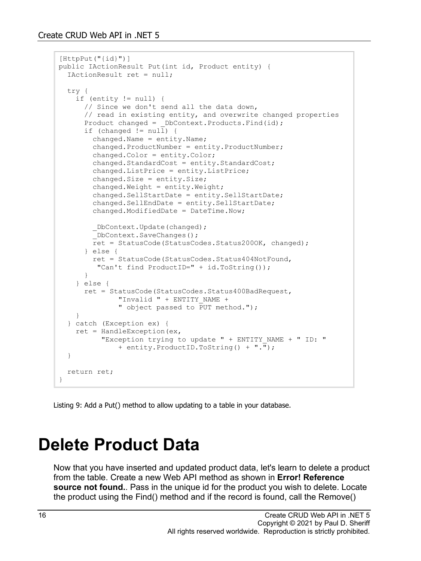```
[HttpPut(''id)")public IActionResult Put(int id, Product entity) {
   IActionResult ret = null;
   try {
     if (entity != null) {
       // Since we don't send all the data down, 
       // read in existing entity, and overwrite changed properties
      Product changed = DbContext.Products.Find(id); if (changed != null) {
         changed.Name = entity.Name;
         changed.ProductNumber = entity.ProductNumber;
         changed.Color = entity.Color;
         changed.StandardCost = entity.StandardCost;
         changed.ListPrice = entity.ListPrice;
         changed.Size = entity.Size;
         changed.Weight = entity.Weight;
         changed.SellStartDate = entity.SellStartDate;
         changed.SellEndDate = entity.SellStartDate;
         changed.ModifiedDate = DateTime.Now;
          _DbContext.Update(changed);
         _DbContext.SaveChanges();
         ret = StatusCode(StatusCodes.Status200OK, changed);
       } else {
         ret = StatusCode(StatusCodes.Status404NotFound,
      "Can't find ProductID=" + id.ToString());
 }
     } else {
       ret = StatusCode(StatusCodes.Status400BadRequest,
              "Invalid " + ENTITY NAME +
              " object passed to PUT method.");
     }
   } catch (Exception ex) {
    ret = HandleException (ex,
          "Exception trying to update " + ENTITY NAME + " ID: "
               + entity.ProductID.ToString() + ".");
   }
   return ret;
}
```
<span id="page-15-0"></span>Listing 9: Add a Put() method to allow updating to a table in your database.

### **Delete Product Data**

Now that you have inserted and updated product data, let's learn to delete a product from the table. Create a new Web API method as shown in **Error! Reference source not found.**. Pass in the unique id for the product you wish to delete. Locate the product using the Find() method and if the record is found, call the Remove()